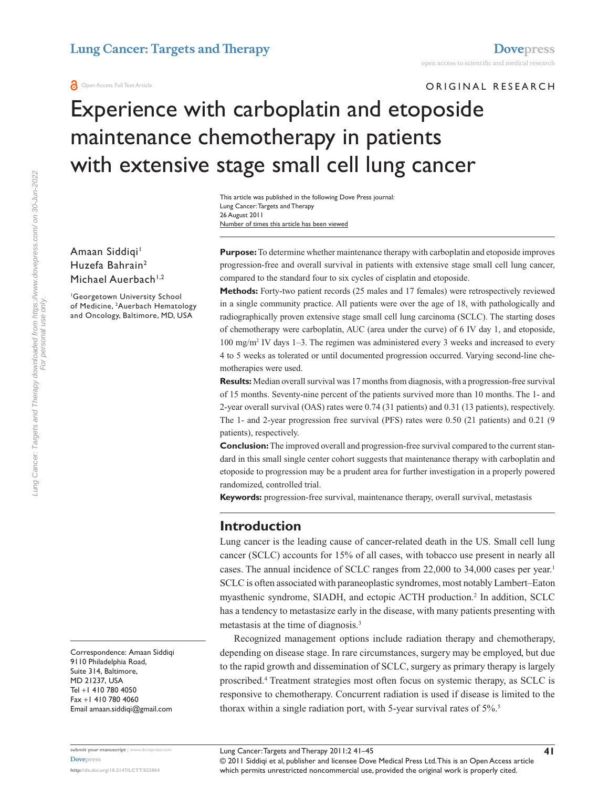ORIGINAL RESEARCH

# Experience with carboplatin and etoposide maintenance chemotherapy in patients with extensive stage small cell lung cancer

Number of times this article has been viewed This article was published in the following Dove Press journal: Lung Cancer: Targets and Therapy 26 August 2011

Amaan Siddiqi<sup>1</sup> Huzefa Bahrain2 Michael Auerbach<sup>1,2</sup>

1 Georgetown University School of Medicine, <sup>2</sup>Auerbach Hematology and Oncology, Baltimore, MD, USA

**Purpose:** To determine whether maintenance therapy with carboplatin and etoposide improves progression-free and overall survival in patients with extensive stage small cell lung cancer, compared to the standard four to six cycles of cisplatin and etoposide.

**Methods:** Forty-two patient records (25 males and 17 females) were retrospectively reviewed in a single community practice. All patients were over the age of 18, with pathologically and radiographically proven extensive stage small cell lung carcinoma (SCLC). The starting doses of chemotherapy were carboplatin, AUC (area under the curve) of 6 IV day 1, and etoposide, 100 mg/m2 IV days 1–3. The regimen was administered every 3 weeks and increased to every 4 to 5 weeks as tolerated or until documented progression occurred. Varying second-line chemotherapies were used.

**Results:** Median overall survival was 17 months from diagnosis, with a progression-free survival of 15 months. Seventy-nine percent of the patients survived more than 10 months. The 1- and 2-year overall survival (OAS) rates were 0.74 (31 patients) and 0.31 (13 patients), respectively. The 1- and 2-year progression free survival (PFS) rates were 0.50 (21 patients) and 0.21 (9 patients), respectively.

**Conclusion:** The improved overall and progression-free survival compared to the current standard in this small single center cohort suggests that maintenance therapy with carboplatin and etoposide to progression may be a prudent area for further investigation in a properly powered randomized, controlled trial.

**Keywords:** progression-free survival, maintenance therapy, overall survival, metastasis

## **Introduction**

Lung cancer is the leading cause of cancer-related death in the US. Small cell lung cancer (SCLC) accounts for 15% of all cases, with tobacco use present in nearly all cases. The annual incidence of SCLC ranges from 22,000 to 34,000 cases per year.<sup>1</sup> SCLC is often associated with paraneoplastic syndromes, most notably Lambert–Eaton myasthenic syndrome, SIADH, and ectopic ACTH production.<sup>2</sup> In addition, SCLC has a tendency to metastasize early in the disease, with many patients presenting with metastasis at the time of diagnosis.<sup>3</sup>

Recognized management options include radiation therapy and chemotherapy, depending on disease stage. In rare circumstances, surgery may be employed, but due to the rapid growth and dissemination of SCLC, surgery as primary therapy is largely proscribed.4 Treatment strategies most often focus on systemic therapy, as SCLC is responsive to chemotherapy. Concurrent radiation is used if disease is limited to the thorax within a single radiation port, with 5-year survival rates of 5%.5

Correspondence: Amaan Siddiqi 9110 Philadelphia Road, Suite 314, Baltimore, MD 21237, USA Tel +1 410 780 4050 Fax +1 410 780 4060 Email [amaan.siddiqi@gmail.com](mailto:amaan.siddiqi@gmail.com)

**submit your manuscript** | <www.dovepress.com> **[Dovepress](www.dovepress.com) [http://dx.doi.org/1](http://dx.doi.org/10.2147/LCTT.S22864)0.2147/LCTT.S22864**

Lung Cancer: Targets and Therapy 2011:2 41–45

© 2011 Siddiqi et al, publisher and licensee Dove Medical Press Ltd. This is an Open Access article which permits unrestricted noncommercial use, provided the original work is properly cited.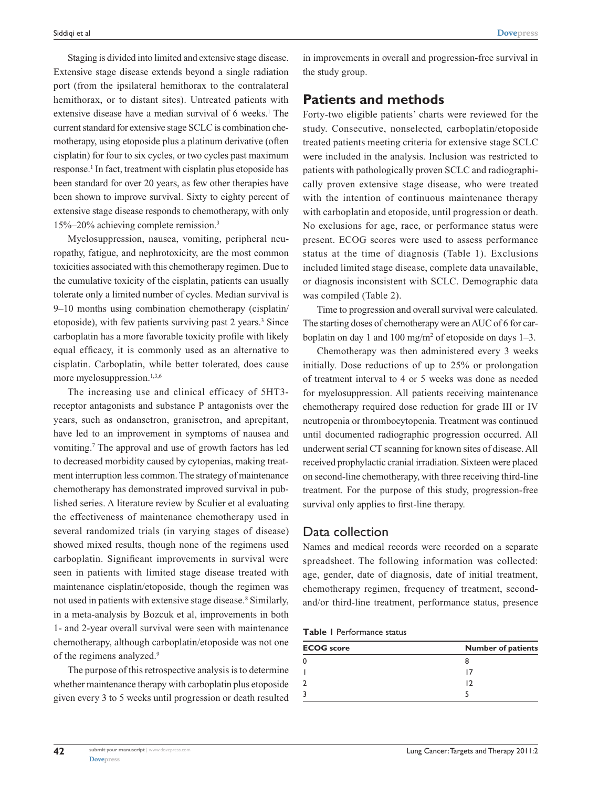**[Dovepress](www.dovepress.com)**

Staging is divided into limited and extensive stage disease. Extensive stage disease extends beyond a single radiation port (from the ipsilateral hemithorax to the contralateral hemithorax, or to distant sites). Untreated patients with extensive disease have a median survival of 6 weeks.<sup>1</sup> The current standard for extensive stage SCLC is combination chemotherapy, using etoposide plus a platinum derivative (often cisplatin) for four to six cycles, or two cycles past maximum response.<sup>1</sup> In fact, treatment with cisplatin plus etoposide has been standard for over 20 years, as few other therapies have been shown to improve survival. Sixty to eighty percent of extensive stage disease responds to chemotherapy, with only 15%–20% achieving complete remission.3

Myelosuppression, nausea, vomiting, peripheral neuropathy, fatigue, and nephrotoxicity, are the most common toxicities associated with this chemotherapy regimen. Due to the cumulative toxicity of the cisplatin, patients can usually tolerate only a limited number of cycles. Median survival is 9–10 months using combination chemotherapy (cisplatin/ etoposide), with few patients surviving past 2 years.<sup>3</sup> Since carboplatin has a more favorable toxicity profile with likely equal efficacy, it is commonly used as an alternative to cisplatin. Carboplatin, while better tolerated, does cause more myelosuppression.<sup>1,3,6</sup>

The increasing use and clinical efficacy of 5HT3 receptor antagonists and substance P antagonists over the years, such as ondansetron, granisetron, and aprepitant, have led to an improvement in symptoms of nausea and vomiting.7 The approval and use of growth factors has led to decreased morbidity caused by cytopenias, making treatment interruption less common. The strategy of maintenance chemotherapy has demonstrated improved survival in published series. A literature review by Sculier et al evaluating the effectiveness of maintenance chemotherapy used in several randomized trials (in varying stages of disease) showed mixed results, though none of the regimens used carboplatin. Significant improvements in survival were seen in patients with limited stage disease treated with maintenance cisplatin/etoposide, though the regimen was not used in patients with extensive stage disease.<sup>8</sup> Similarly, in a meta-analysis by Bozcuk et al, improvements in both 1- and 2-year overall survival were seen with maintenance chemotherapy, although carboplatin/etoposide was not one of the regimens analyzed.<sup>9</sup>

The purpose of this retrospective analysis is to determine whether maintenance therapy with carboplatin plus etoposide given every 3 to 5 weeks until progression or death resulted

in improvements in overall and progression-free survival in the study group.

## **Patients and methods**

Forty-two eligible patients' charts were reviewed for the study. Consecutive, nonselected, carboplatin/etoposide treated patients meeting criteria for extensive stage SCLC were included in the analysis. Inclusion was restricted to patients with pathologically proven SCLC and radiographically proven extensive stage disease, who were treated with the intention of continuous maintenance therapy with carboplatin and etoposide, until progression or death. No exclusions for age, race, or performance status were present. ECOG scores were used to assess performance status at the time of diagnosis (Table 1). Exclusions included limited stage disease, complete data unavailable, or diagnosis inconsistent with SCLC. Demographic data was compiled (Table 2).

Time to progression and overall survival were calculated. The starting doses of chemotherapy were an AUC of 6 for carboplatin on day 1 and 100 mg/m<sup>2</sup> of etoposide on days  $1-3$ .

Chemotherapy was then administered every 3 weeks initially. Dose reductions of up to 25% or prolongation of treatment interval to 4 or 5 weeks was done as needed for myelosuppression. All patients receiving maintenance chemotherapy required dose reduction for grade III or IV neutropenia or thrombocytopenia. Treatment was continued until documented radiographic progression occurred. All underwent serial CT scanning for known sites of disease. All received prophylactic cranial irradiation. Sixteen were placed on second-line chemotherapy, with three receiving third-line treatment. For the purpose of this study, progression-free survival only applies to first-line therapy.

## Data collection

Names and medical records were recorded on a separate spreadsheet. The following information was collected: age, gender, date of diagnosis, date of initial treatment, chemotherapy regimen, frequency of treatment, secondand/or third-line treatment, performance status, presence

| Table I Performance status |  |  |
|----------------------------|--|--|
|----------------------------|--|--|

| <b>ECOG</b> score | <b>Number of patients</b> |  |  |
|-------------------|---------------------------|--|--|
|                   |                           |  |  |
|                   |                           |  |  |
|                   |                           |  |  |
|                   |                           |  |  |

**42**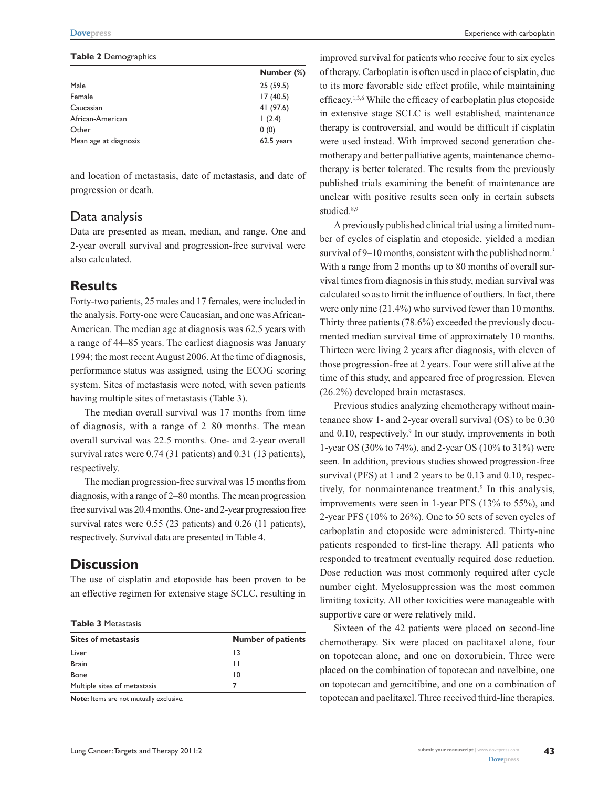#### **Table 2** Demographics

|                        | Number (%) |  |
|------------------------|------------|--|
| Male                   | 25(59.5)   |  |
| 17(40.5)<br>Female     |            |  |
| 41 (97.6)<br>Caucasian |            |  |
| African-American       | 1(2.4)     |  |
| 0(0)<br>Other          |            |  |
| Mean age at diagnosis  | 62.5 years |  |

and location of metastasis, date of metastasis, and date of progression or death.

## Data analysis

Data are presented as mean, median, and range. One and 2-year overall survival and progression-free survival were also calculated.

## **Results**

Forty-two patients, 25 males and 17 females, were included in the analysis. Forty-one were Caucasian, and one was African-American. The median age at diagnosis was 62.5 years with a range of 44–85 years. The earliest diagnosis was January 1994; the most recent August 2006. At the time of diagnosis, performance status was assigned, using the ECOG scoring system. Sites of metastasis were noted, with seven patients having multiple sites of metastasis (Table 3).

The median overall survival was 17 months from time of diagnosis, with a range of 2–80 months. The mean overall survival was 22.5 months. One- and 2-year overall survival rates were 0.74 (31 patients) and 0.31 (13 patients), respectively.

The median progression-free survival was 15 months from diagnosis, with a range of 2–80 months. The mean progression free survival was 20.4months. One- and 2-year progression free survival rates were 0.55 (23 patients) and 0.26 (11 patients), respectively. Survival data are presented in Table 4.

## **Discussion**

The use of cisplatin and etoposide has been proven to be an effective regimen for extensive stage SCLC, resulting in

**Table 3** Metastasis

| <b>Sites of metastasis</b>   | <b>Number of patients</b> |  |  |
|------------------------------|---------------------------|--|--|
| Liver                        | 13                        |  |  |
| <b>Brain</b>                 | $\mathbf{L}$              |  |  |
| <b>Bone</b>                  | 10                        |  |  |
| Multiple sites of metastasis |                           |  |  |

**Note:** Items are not mutually exclusive.

improved survival for patients who receive four to six cycles of therapy. Carboplatin is often used in place of cisplatin, due to its more favorable side effect profile, while maintaining efficacy.1,3,6 While the efficacy of carboplatin plus etoposide in extensive stage SCLC is well established, maintenance therapy is controversial, and would be difficult if cisplatin were used instead. With improved second generation chemotherapy and better palliative agents, maintenance chemotherapy is better tolerated. The results from the previously published trials examining the benefit of maintenance are unclear with positive results seen only in certain subsets studied.<sup>8,9</sup>

A previously published clinical trial using a limited number of cycles of cisplatin and etoposide, yielded a median survival of 9–10 months, consistent with the published norm.<sup>3</sup> With a range from 2 months up to 80 months of overall survival times from diagnosis in this study, median survival was calculated so as to limit the influence of outliers. In fact, there were only nine (21.4%) who survived fewer than 10 months. Thirty three patients (78.6%) exceeded the previously documented median survival time of approximately 10 months. Thirteen were living 2 years after diagnosis, with eleven of those progression-free at 2 years. Four were still alive at the time of this study, and appeared free of progression. Eleven (26.2%) developed brain metastases.

Previous studies analyzing chemotherapy without maintenance show 1- and 2-year overall survival (OS) to be 0.30 and 0.10, respectively.<sup>9</sup> In our study, improvements in both 1-year OS (30% to 74%), and 2-year OS (10% to 31%) were seen. In addition, previous studies showed progression-free survival (PFS) at 1 and 2 years to be 0.13 and 0.10, respectively, for nonmaintenance treatment.<sup>9</sup> In this analysis, improvements were seen in 1-year PFS (13% to 55%), and 2-year PFS (10% to 26%). One to 50 sets of seven cycles of carboplatin and etoposide were administered. Thirty-nine patients responded to first-line therapy. All patients who responded to treatment eventually required dose reduction. Dose reduction was most commonly required after cycle number eight. Myelosuppression was the most common limiting toxicity. All other toxicities were manageable with supportive care or were relatively mild.

Sixteen of the 42 patients were placed on second-line chemotherapy. Six were placed on paclitaxel alone, four on topotecan alone, and one on doxorubicin. Three were placed on the combination of topotecan and navelbine, one on topotecan and gemcitibine, and one on a combination of topotecan and paclitaxel. Three received third-line therapies.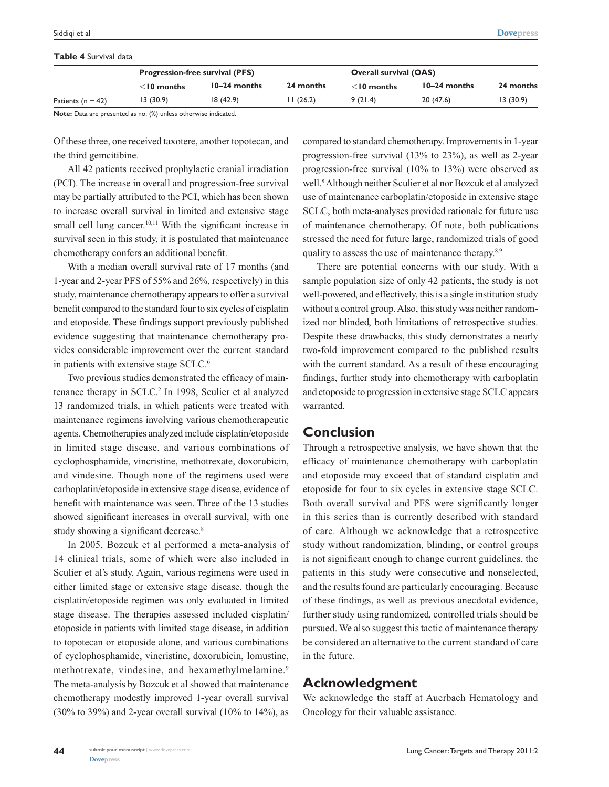### **Table 4** Survival data

|                       |               | <b>Progression-free survival (PFS)</b> |           |                  | <b>Overall survival (OAS)</b> |           |  |
|-----------------------|---------------|----------------------------------------|-----------|------------------|-------------------------------|-----------|--|
|                       | $<$ 10 months | $10-24$ months                         | 24 months | $\leq$ 10 months | $10-24$ months                | 24 months |  |
| Patients ( $n = 42$ ) | I3 (30.9)     | 18(42.9)                               | 11 (26.2) | 9 (21.4)         | 20(47.6)                      | 13(30.9)  |  |

**Note:** Data are presented as no. (%) unless otherwise indicated.

Of these three, one received taxotere, another topotecan, and the third gemcitibine.

All 42 patients received prophylactic cranial irradiation (PCI). The increase in overall and progression-free survival may be partially attributed to the PCI, which has been shown to increase overall survival in limited and extensive stage small cell lung cancer.<sup>10,11</sup> With the significant increase in survival seen in this study, it is postulated that maintenance chemotherapy confers an additional benefit.

With a median overall survival rate of 17 months (and 1-year and 2-year PFS of 55% and 26%, respectively) in this study, maintenance chemotherapy appears to offer a survival benefit compared to the standard four to six cycles of cisplatin and etoposide. These findings support previously published evidence suggesting that maintenance chemotherapy provides considerable improvement over the current standard in patients with extensive stage SCLC.6

Two previous studies demonstrated the efficacy of maintenance therapy in SCLC.<sup>2</sup> In 1998, Sculier et al analyzed 13 randomized trials, in which patients were treated with maintenance regimens involving various chemotherapeutic agents. Chemotherapies analyzed include cisplatin/etoposide in limited stage disease, and various combinations of cyclophosphamide, vincristine, methotrexate, doxorubicin, and vindesine. Though none of the regimens used were carboplatin/etoposide in extensive stage disease, evidence of benefit with maintenance was seen. Three of the 13 studies showed significant increases in overall survival, with one study showing a significant decrease.<sup>8</sup>

In 2005, Bozcuk et al performed a meta-analysis of 14 clinical trials, some of which were also included in Sculier et al's study. Again, various regimens were used in either limited stage or extensive stage disease, though the cisplatin/etoposide regimen was only evaluated in limited stage disease. The therapies assessed included cisplatin/ etoposide in patients with limited stage disease, in addition to topotecan or etoposide alone, and various combinations of cyclophosphamide, vincristine, doxorubicin, lomustine, methotrexate, vindesine, and hexamethylmelamine.<sup>9</sup> The meta-analysis by Bozcuk et al showed that maintenance chemotherapy modestly improved 1-year overall survival  $(30\% \text{ to } 39\%)$  and 2-year overall survival  $(10\% \text{ to } 14\%)$ , as compared to standard chemotherapy. Improvements in 1-year progression-free survival (13% to 23%), as well as 2-year progression-free survival (10% to 13%) were observed as well.8 Although neither Sculier et al nor Bozcuk et al analyzed use of maintenance carboplatin/etoposide in extensive stage SCLC, both meta-analyses provided rationale for future use of maintenance chemotherapy. Of note, both publications stressed the need for future large, randomized trials of good quality to assess the use of maintenance therapy.8,9

There are potential concerns with our study. With a sample population size of only 42 patients, the study is not well-powered, and effectively, this is a single institution study without a control group. Also, this study was neither randomized nor blinded, both limitations of retrospective studies. Despite these drawbacks, this study demonstrates a nearly two-fold improvement compared to the published results with the current standard. As a result of these encouraging findings, further study into chemotherapy with carboplatin and etoposide to progression in extensive stage SCLC appears warranted.

## **Conclusion**

Through a retrospective analysis, we have shown that the efficacy of maintenance chemotherapy with carboplatin and etoposide may exceed that of standard cisplatin and etoposide for four to six cycles in extensive stage SCLC. Both overall survival and PFS were significantly longer in this series than is currently described with standard of care. Although we acknowledge that a retrospective study without randomization, blinding, or control groups is not significant enough to change current guidelines, the patients in this study were consecutive and nonselected, and the results found are particularly encouraging. Because of these findings, as well as previous anecdotal evidence, further study using randomized, controlled trials should be pursued. We also suggest this tactic of maintenance therapy be considered an alternative to the current standard of care in the future.

## **Acknowledgment**

We acknowledge the staff at Auerbach Hematology and Oncology for their valuable assistance.

**44**